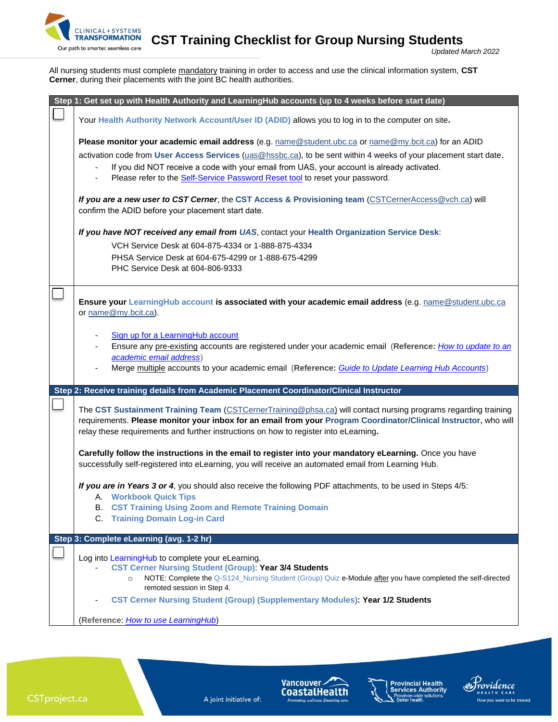

*SFORMATION* **CST Training Checklist for Group Nursing Students** 

All nursing students must complete mandatory training in order to access and use the clinical information system, **CST Cerner**, during their placements with the joint BC health authorities.

| Step 1: Get set up with Health Authority and LearningHub accounts (up to 4 weeks before start date)                                                                                                                                                                                                                                                                                                     |
|---------------------------------------------------------------------------------------------------------------------------------------------------------------------------------------------------------------------------------------------------------------------------------------------------------------------------------------------------------------------------------------------------------|
| Your Health Authority Network Account/User ID (ADID) allows you to log in to the computer on site.                                                                                                                                                                                                                                                                                                      |
| Please monitor your academic email address (e.g. name@student.ubc.ca or name@my.bcit.ca) for an ADID<br>activation code from User Access Services (uas@hssbc.ca), to be sent within 4 weeks of your placement start date.<br>If you did NOT receive a code with your email from UAS, your account is already activated.<br>Please refer to the Self-Service Password Reset tool to reset your password. |
| If you are a new user to CST Cerner, the CST Access & Provisioning team (CSTCernerAccess@vch.ca) will<br>confirm the ADID before your placement start date.                                                                                                                                                                                                                                             |
| If you have NOT received any email from UAS, contact your Health Organization Service Desk:<br>VCH Service Desk at 604-875-4334 or 1-888-875-4334<br>PHSA Service Desk at 604-675-4299 or 1-888-675-4299<br>PHC Service Desk at 604-806-9333                                                                                                                                                            |
| Ensure your LearningHub account is associated with your academic email address (e.g. name@student.ubc.ca<br>or name@my.bcit.ca).                                                                                                                                                                                                                                                                        |
| Sign up for a LearningHub account<br>Ensure any pre-existing accounts are registered under your academic email (Reference: <i>How to update to an</i><br>academic email address)<br>Merge multiple accounts to your academic email (Reference: Guide to Update Learning Hub Accounts)                                                                                                                   |
| Step 2: Receive training details from Academic Placement Coordinator/Clinical Instructor                                                                                                                                                                                                                                                                                                                |
| The CST Sustainment Training Team (CSTCernerTraining@phsa.ca) will contact nursing programs regarding training<br>requirements. Please monitor your inbox for an email from your Program Coordinator/Clinical Instructor, who will<br>relay these requirements and further instructions on how to register into eLearning.                                                                              |
| Carefully follow the instructions in the email to register into your mandatory eLearning. Once you have<br>successfully self-registered into eLearning, you will receive an automated email from Learning Hub.                                                                                                                                                                                          |
| If you are in Years 3 or 4, you should also receive the following PDF attachments, to be used in Steps 4/5:<br>A. Workbook Quick Tips<br><b>B. CST Training Using Zoom and Remote Training Domain</b><br>C. Training Domain Log-in Card                                                                                                                                                                 |
| Step 3: Complete eLearning (avg. 1-2 hr)                                                                                                                                                                                                                                                                                                                                                                |
| Log into LearningHub to complete your eLearning.<br><b>CST Cerner Nursing Student (Group): Year 3/4 Students</b><br>NOTE: Complete the Q-S124_Nursing Student (Group) Quiz e-Module after you have completed the self-directed<br>$\circ$<br>remoted session in Step 4.<br><b>CST Cerner Nursing Student (Group) (Supplementary Modules): Year 1/2 Students</b>                                         |
| (Reference: How to use LearningHub)                                                                                                                                                                                                                                                                                                                                                                     |

A joint initiative of:





Providence

How you want to be treated.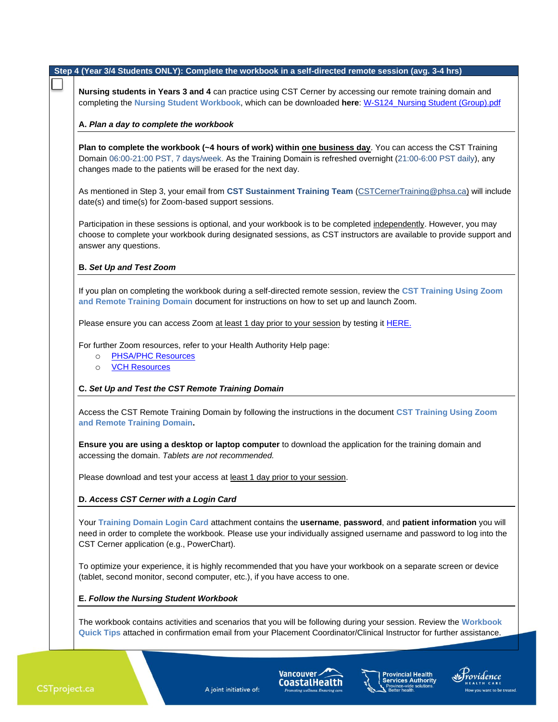| Step 4 (Year 3/4 Students ONLY): Complete the workbook in a self-directed remote session (avg. 3-4 hrs)                                                                                                                                                                                      |
|----------------------------------------------------------------------------------------------------------------------------------------------------------------------------------------------------------------------------------------------------------------------------------------------|
| Nursing students in Years 3 and 4 can practice using CST Cerner by accessing our remote training domain and<br>completing the Nursing Student Workbook, which can be downloaded here: W-S124 Nursing Student (Group).pdf                                                                     |
| A. Plan a day to complete the workbook                                                                                                                                                                                                                                                       |
| Plan to complete the workbook (~4 hours of work) within one business day. You can access the CST Training<br>Domain 06:00-21:00 PST, 7 days/week. As the Training Domain is refreshed overnight (21:00-6:00 PST daily), any<br>changes made to the patients will be erased for the next day. |
| As mentioned in Step 3, your email from CST Sustainment Training Team (CSTCernerTraining@phsa.ca) will include<br>date(s) and time(s) for Zoom-based support sessions.                                                                                                                       |
| Participation in these sessions is optional, and your workbook is to be completed independently. However, you may<br>choose to complete your workbook during designated sessions, as CST instructors are available to provide support and<br>answer any questions.                           |
| <b>B. Set Up and Test Zoom</b>                                                                                                                                                                                                                                                               |
| If you plan on completing the workbook during a self-directed remote session, review the CST Training Using Zoom<br>and Remote Training Domain document for instructions on how to set up and launch Zoom.                                                                                   |
| Please ensure you can access Zoom at least 1 day prior to your session by testing it HERE.                                                                                                                                                                                                   |
| For further Zoom resources, refer to your Health Authority Help page:<br><b>PHSA/PHC Resources</b><br>$\circ$<br><b>VCH Resources</b><br>$\circ$                                                                                                                                             |
| C. Set Up and Test the CST Remote Training Domain                                                                                                                                                                                                                                            |
| Access the CST Remote Training Domain by following the instructions in the document CST Training Using Zoom<br>and Remote Training Domain.                                                                                                                                                   |
| Ensure you are using a desktop or laptop computer to download the application for the training domain and<br>accessing the domain. Tablets are not recommended.                                                                                                                              |
| Please download and test your access at least 1 day prior to your session.                                                                                                                                                                                                                   |
| D. Access CST Cerner with a Login Card                                                                                                                                                                                                                                                       |
| Your Training Domain Login Card attachment contains the username, password, and patient information you will<br>need in order to complete the workbook. Please use your individually assigned username and password to log into the<br>CST Cerner application (e.g., PowerChart).            |
| To optimize your experience, it is highly recommended that you have your workbook on a separate screen or device<br>(tablet, second monitor, second computer, etc.), if you have access to one.                                                                                              |
| E. Follow the Nursing Student Workbook                                                                                                                                                                                                                                                       |
| The workbook contains activities and scenarios that you will be following during your session. Review the Workbook<br>Quick Tips attached in confirmation email from your Placement Coordinator/Clinical Instructor for further assistance.                                                  |

A joint initiative of:

Vancouver